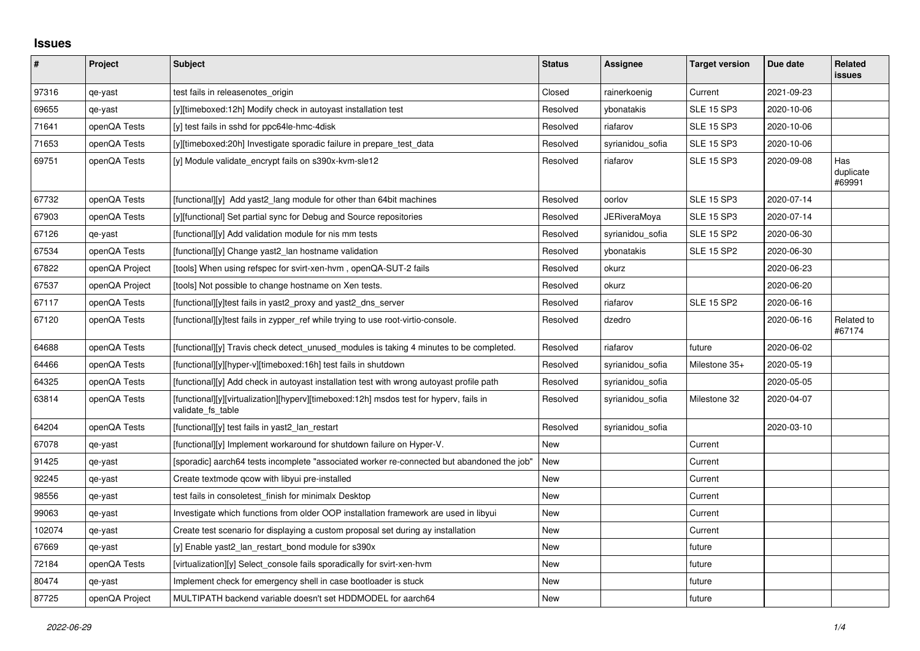## **Issues**

| $\vert$ # | Project        | Subject                                                                                                     | <b>Status</b> | <b>Assignee</b>     | <b>Target version</b> | Due date   | Related<br><b>issues</b>   |
|-----------|----------------|-------------------------------------------------------------------------------------------------------------|---------------|---------------------|-----------------------|------------|----------------------------|
| 97316     | qe-yast        | test fails in releasenotes origin                                                                           | Closed        | rainerkoenig        | Current               | 2021-09-23 |                            |
| 69655     | qe-yast        | [y][timeboxed:12h] Modify check in autoyast installation test                                               | Resolved      | ybonatakis          | <b>SLE 15 SP3</b>     | 2020-10-06 |                            |
| 71641     | openQA Tests   | [y] test fails in sshd for ppc64le-hmc-4disk                                                                | Resolved      | riafarov            | <b>SLE 15 SP3</b>     | 2020-10-06 |                            |
| 71653     | openQA Tests   | [y][timeboxed:20h] Investigate sporadic failure in prepare_test_data                                        | Resolved      | syrianidou_sofia    | <b>SLE 15 SP3</b>     | 2020-10-06 |                            |
| 69751     | openQA Tests   | [y] Module validate encrypt fails on s390x-kvm-sle12                                                        | Resolved      | riafarov            | <b>SLE 15 SP3</b>     | 2020-09-08 | Has<br>duplicate<br>#69991 |
| 67732     | openQA Tests   | [functional][y] Add yast2 lang module for other than 64bit machines                                         | Resolved      | oorlov              | <b>SLE 15 SP3</b>     | 2020-07-14 |                            |
| 67903     | openQA Tests   | [y][functional] Set partial sync for Debug and Source repositories                                          | Resolved      | <b>JERiveraMoya</b> | <b>SLE 15 SP3</b>     | 2020-07-14 |                            |
| 67126     | qe-yast        | [functional][y] Add validation module for nis mm tests                                                      | Resolved      | syrianidou sofia    | <b>SLE 15 SP2</b>     | 2020-06-30 |                            |
| 67534     | openQA Tests   | [functional][y] Change yast2_lan hostname validation                                                        | Resolved      | ybonatakis          | <b>SLE 15 SP2</b>     | 2020-06-30 |                            |
| 67822     | openQA Project | [tools] When using refspec for svirt-xen-hvm, openQA-SUT-2 fails                                            | Resolved      | okurz               |                       | 2020-06-23 |                            |
| 67537     | openQA Project | [tools] Not possible to change hostname on Xen tests.                                                       | Resolved      | okurz               |                       | 2020-06-20 |                            |
| 67117     | openQA Tests   | [functional][y]test fails in yast2 proxy and yast2 dns server                                               | Resolved      | riafarov            | <b>SLE 15 SP2</b>     | 2020-06-16 |                            |
| 67120     | openQA Tests   | [functional][y]test fails in zypper ref while trying to use root-virtio-console.                            | Resolved      | dzedro              |                       | 2020-06-16 | Related to<br>#67174       |
| 64688     | openQA Tests   | [functional][y] Travis check detect_unused_modules is taking 4 minutes to be completed.                     | Resolved      | riafarov            | future                | 2020-06-02 |                            |
| 64466     | openQA Tests   | [functional][y][hyper-v][timeboxed:16h] test fails in shutdown                                              | Resolved      | syrianidou_sofia    | Milestone 35+         | 2020-05-19 |                            |
| 64325     | openQA Tests   | [functional][y] Add check in autoyast installation test with wrong autoyast profile path                    | Resolved      | syrianidou_sofia    |                       | 2020-05-05 |                            |
| 63814     | openQA Tests   | [functional][y][virtualization][hyperv][timeboxed:12h] msdos test for hyperv, fails in<br>validate_fs_table | Resolved      | syrianidou sofia    | Milestone 32          | 2020-04-07 |                            |
| 64204     | openQA Tests   | [functional][y] test fails in yast2 lan restart                                                             | Resolved      | syrianidou sofia    |                       | 2020-03-10 |                            |
| 67078     | qe-yast        | [functional][y] Implement workaround for shutdown failure on Hyper-V.                                       | New           |                     | Current               |            |                            |
| 91425     | qe-yast        | [sporadic] aarch64 tests incomplete "associated worker re-connected but abandoned the job"                  | New           |                     | Current               |            |                            |
| 92245     | qe-yast        | Create textmode gcow with libyui pre-installed                                                              | <b>New</b>    |                     | Current               |            |                            |
| 98556     | qe-yast        | test fails in consoletest finish for minimalx Desktop                                                       | New           |                     | Current               |            |                            |
| 99063     | qe-yast        | Investigate which functions from older OOP installation framework are used in libyui                        | New           |                     | Current               |            |                            |
| 102074    | qe-yast        | Create test scenario for displaying a custom proposal set during ay installation                            | New           |                     | Current               |            |                            |
| 67669     | qe-yast        | [y] Enable yast2 lan restart bond module for s390x                                                          | New           |                     | future                |            |                            |
| 72184     | openQA Tests   | [virtualization][y] Select console fails sporadically for svirt-xen-hvm                                     | New           |                     | future                |            |                            |
| 80474     | qe-yast        | Implement check for emergency shell in case bootloader is stuck                                             | <b>New</b>    |                     | future                |            |                            |
| 87725     | openQA Project | MULTIPATH backend variable doesn't set HDDMODEL for aarch64                                                 | New           |                     | future                |            |                            |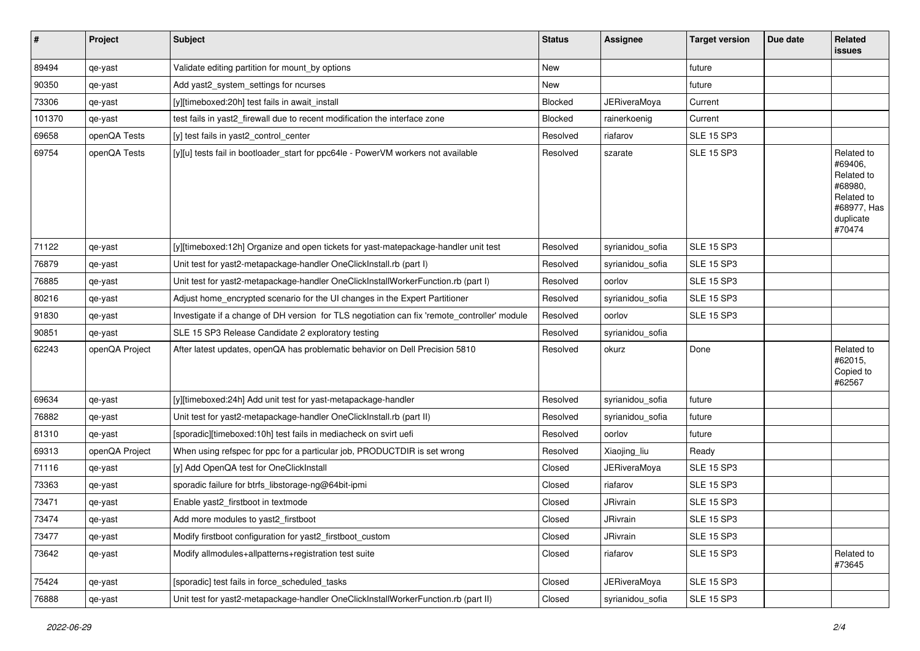| $\sharp$ | Project        | Subject                                                                                      | <b>Status</b>  | Assignee            | <b>Target version</b> | Due date | <b>Related</b><br>issues                                                                           |
|----------|----------------|----------------------------------------------------------------------------------------------|----------------|---------------------|-----------------------|----------|----------------------------------------------------------------------------------------------------|
| 89494    | qe-yast        | Validate editing partition for mount_by options                                              | <b>New</b>     |                     | future                |          |                                                                                                    |
| 90350    | qe-yast        | Add yast2_system_settings for ncurses                                                        | New            |                     | future                |          |                                                                                                    |
| 73306    | qe-yast        | [y][timeboxed:20h] test fails in await_install                                               | <b>Blocked</b> | <b>JERiveraMoya</b> | Current               |          |                                                                                                    |
| 101370   | qe-yast        | test fails in yast2_firewall due to recent modification the interface zone                   | Blocked        | rainerkoenig        | Current               |          |                                                                                                    |
| 69658    | openQA Tests   | [y] test fails in yast2_control_center                                                       | Resolved       | riafarov            | <b>SLE 15 SP3</b>     |          |                                                                                                    |
| 69754    | openQA Tests   | [y][u] tests fail in bootloader_start for ppc64le - PowerVM workers not available            | Resolved       | szarate             | <b>SLE 15 SP3</b>     |          | Related to<br>#69406,<br>Related to<br>#68980,<br>Related to<br>#68977, Has<br>duplicate<br>#70474 |
| 71122    | qe-yast        | [y][timeboxed:12h] Organize and open tickets for yast-matepackage-handler unit test          | Resolved       | syrianidou_sofia    | <b>SLE 15 SP3</b>     |          |                                                                                                    |
| 76879    | qe-yast        | Unit test for yast2-metapackage-handler OneClickInstall.rb (part I)                          | Resolved       | syrianidou_sofia    | <b>SLE 15 SP3</b>     |          |                                                                                                    |
| 76885    | qe-yast        | Unit test for yast2-metapackage-handler OneClickInstallWorkerFunction.rb (part I)            | Resolved       | oorlov              | <b>SLE 15 SP3</b>     |          |                                                                                                    |
| 80216    | qe-yast        | Adjust home_encrypted scenario for the UI changes in the Expert Partitioner                  | Resolved       | syrianidou_sofia    | <b>SLE 15 SP3</b>     |          |                                                                                                    |
| 91830    | qe-yast        | Investigate if a change of DH version for TLS negotiation can fix 'remote_controller' module | Resolved       | oorlov              | <b>SLE 15 SP3</b>     |          |                                                                                                    |
| 90851    | qe-yast        | SLE 15 SP3 Release Candidate 2 exploratory testing                                           | Resolved       | syrianidou_sofia    |                       |          |                                                                                                    |
| 62243    | openQA Project | After latest updates, openQA has problematic behavior on Dell Precision 5810                 | Resolved       | okurz               | Done                  |          | Related to<br>#62015,<br>Copied to<br>#62567                                                       |
| 69634    | qe-yast        | [y][timeboxed:24h] Add unit test for yast-metapackage-handler                                | Resolved       | syrianidou_sofia    | future                |          |                                                                                                    |
| 76882    | qe-yast        | Unit test for yast2-metapackage-handler OneClickInstall.rb (part II)                         | Resolved       | syrianidou_sofia    | future                |          |                                                                                                    |
| 81310    | qe-yast        | [sporadic][timeboxed:10h] test fails in mediacheck on svirt uefi                             | Resolved       | oorlov              | future                |          |                                                                                                    |
| 69313    | openQA Project | When using refspec for ppc for a particular job, PRODUCTDIR is set wrong                     | Resolved       | Xiaojing_liu        | Ready                 |          |                                                                                                    |
| 71116    | qe-yast        | [y] Add OpenQA test for OneClickInstall                                                      | Closed         | JERiveraMoya        | <b>SLE 15 SP3</b>     |          |                                                                                                    |
| 73363    | qe-yast        | sporadic failure for btrfs libstorage-ng@64bit-ipmi                                          | Closed         | riafarov            | <b>SLE 15 SP3</b>     |          |                                                                                                    |
| 73471    | qe-yast        | Enable yast2 firstboot in textmode                                                           | Closed         | JRivrain            | <b>SLE 15 SP3</b>     |          |                                                                                                    |
| 73474    | qe-yast        | Add more modules to yast2_firstboot                                                          | Closed         | JRivrain            | <b>SLE 15 SP3</b>     |          |                                                                                                    |
| 73477    | qe-yast        | Modify firstboot configuration for yast2 firstboot custom                                    | Closed         | JRivrain            | <b>SLE 15 SP3</b>     |          |                                                                                                    |
| 73642    | qe-yast        | Modify allmodules+allpatterns+registration test suite                                        | Closed         | riafarov            | <b>SLE 15 SP3</b>     |          | Related to<br>#73645                                                                               |
| 75424    | qe-yast        | [sporadic] test fails in force_scheduled_tasks                                               | Closed         | <b>JERiveraMoya</b> | <b>SLE 15 SP3</b>     |          |                                                                                                    |
| 76888    | qe-yast        | Unit test for yast2-metapackage-handler OneClickInstallWorkerFunction.rb (part II)           | Closed         | syrianidou_sofia    | <b>SLE 15 SP3</b>     |          |                                                                                                    |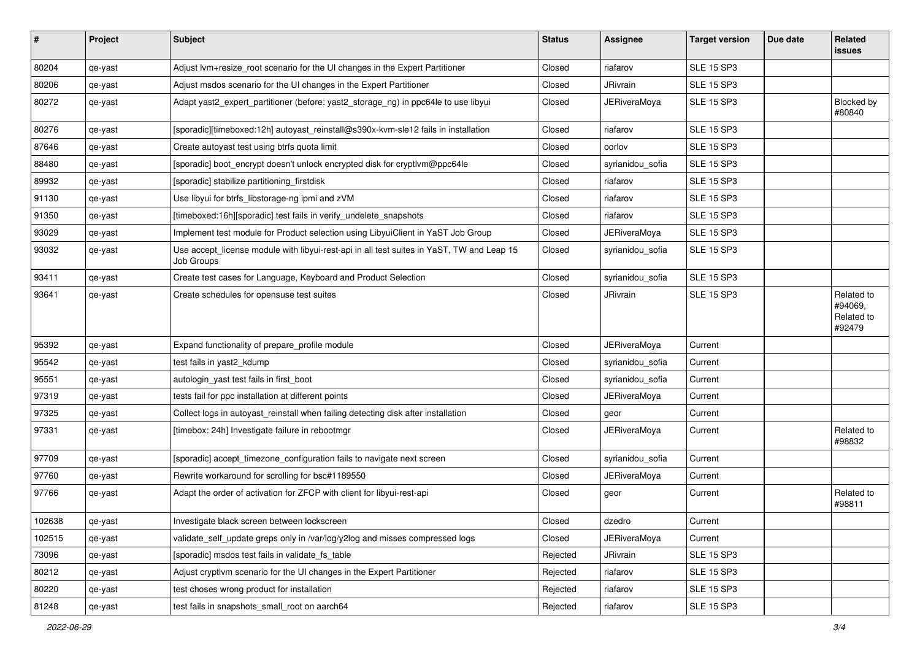| #      | Project | Subject                                                                                                 | <b>Status</b> | Assignee            | <b>Target version</b> | Due date | Related<br>issues                             |
|--------|---------|---------------------------------------------------------------------------------------------------------|---------------|---------------------|-----------------------|----------|-----------------------------------------------|
| 80204  | qe-yast | Adjust lvm+resize_root scenario for the UI changes in the Expert Partitioner                            | Closed        | riafarov            | <b>SLE 15 SP3</b>     |          |                                               |
| 80206  | qe-yast | Adjust msdos scenario for the UI changes in the Expert Partitioner                                      | Closed        | JRivrain            | <b>SLE 15 SP3</b>     |          |                                               |
| 80272  | qe-yast | Adapt yast2_expert_partitioner (before: yast2_storage_ng) in ppc64le to use libyui                      | Closed        | <b>JERiveraMoya</b> | SLE 15 SP3            |          | Blocked by<br>#80840                          |
| 80276  | qe-yast | [sporadic][timeboxed:12h] autoyast_reinstall@s390x-kvm-sle12 fails in installation                      | Closed        | riafarov            | <b>SLE 15 SP3</b>     |          |                                               |
| 87646  | qe-yast | Create autoyast test using btrfs quota limit                                                            | Closed        | oorlov              | <b>SLE 15 SP3</b>     |          |                                               |
| 88480  | qe-yast | [sporadic] boot encrypt doesn't unlock encrypted disk for cryptlym@ppc64le                              | Closed        | syrianidou sofia    | <b>SLE 15 SP3</b>     |          |                                               |
| 89932  | qe-yast | [sporadic] stabilize partitioning_firstdisk                                                             | Closed        | riafarov            | <b>SLE 15 SP3</b>     |          |                                               |
| 91130  | qe-yast | Use libyui for btrfs_libstorage-ng ipmi and zVM                                                         | Closed        | riafarov            | <b>SLE 15 SP3</b>     |          |                                               |
| 91350  | qe-yast | [timeboxed:16h][sporadic] test fails in verify_undelete_snapshots                                       | Closed        | riafarov            | <b>SLE 15 SP3</b>     |          |                                               |
| 93029  | qe-yast | Implement test module for Product selection using LibyuiClient in YaST Job Group                        | Closed        | JERiveraMoya        | <b>SLE 15 SP3</b>     |          |                                               |
| 93032  | qe-yast | Use accept_license module with libyui-rest-api in all test suites in YaST, TW and Leap 15<br>Job Groups | Closed        | syrianidou_sofia    | <b>SLE 15 SP3</b>     |          |                                               |
| 93411  | qe-yast | Create test cases for Language, Keyboard and Product Selection                                          | Closed        | syrianidou_sofia    | <b>SLE 15 SP3</b>     |          |                                               |
| 93641  | qe-yast | Create schedules for opensuse test suites                                                               | Closed        | JRivrain            | <b>SLE 15 SP3</b>     |          | Related to<br>#94069,<br>Related to<br>#92479 |
| 95392  | qe-yast | Expand functionality of prepare_profile module                                                          | Closed        | JERiveraMoya        | Current               |          |                                               |
| 95542  | qe-yast | test fails in yast2_kdump                                                                               | Closed        | syrianidou sofia    | Current               |          |                                               |
| 95551  | qe-yast | autologin_yast test fails in first_boot                                                                 | Closed        | syrianidou_sofia    | Current               |          |                                               |
| 97319  | qe-yast | tests fail for ppc installation at different points                                                     | Closed        | JERiveraMoya        | Current               |          |                                               |
| 97325  | qe-yast | Collect logs in autoyast_reinstall when failing detecting disk after installation                       | Closed        | geor                | Current               |          |                                               |
| 97331  | qe-yast | [timebox: 24h] Investigate failure in rebootmgr                                                         | Closed        | <b>JERiveraMoya</b> | Current               |          | Related to<br>#98832                          |
| 97709  | qe-yast | [sporadic] accept_timezone_configuration fails to navigate next screen                                  | Closed        | syrianidou sofia    | Current               |          |                                               |
| 97760  | qe-yast | Rewrite workaround for scrolling for bsc#1189550                                                        | Closed        | <b>JERiveraMoya</b> | Current               |          |                                               |
| 97766  | qe-yast | Adapt the order of activation for ZFCP with client for libyui-rest-api                                  | Closed        | geor                | Current               |          | Related to<br>#98811                          |
| 102638 | qe-yast | Investigate black screen between lockscreen                                                             | Closed        | dzedro              | Current               |          |                                               |
| 102515 | qe-yast | validate_self_update greps only in /var/log/y2log and misses compressed logs                            | Closed        | <b>JERiveraMoya</b> | Current               |          |                                               |
| 73096  | qe-yast | [sporadic] msdos test fails in validate_fs_table                                                        | Rejected      | JRivrain            | <b>SLE 15 SP3</b>     |          |                                               |
| 80212  | qe-yast | Adjust cryptivm scenario for the UI changes in the Expert Partitioner                                   | Rejected      | riafarov            | <b>SLE 15 SP3</b>     |          |                                               |
| 80220  | qe-yast | test choses wrong product for installation                                                              | Rejected      | riafarov            | <b>SLE 15 SP3</b>     |          |                                               |
| 81248  | qe-yast | test fails in snapshots_small_root on aarch64                                                           | Rejected      | riafarov            | <b>SLE 15 SP3</b>     |          |                                               |